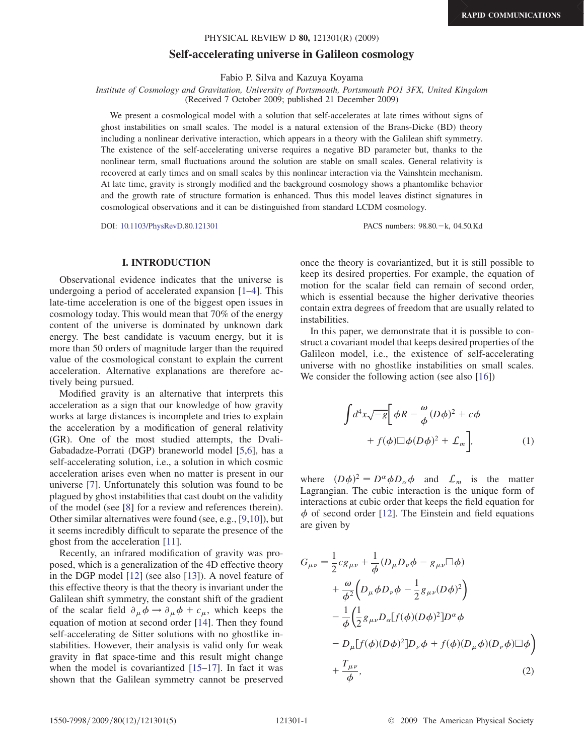# Self-accelerating universe in Galileon cosmology PHYSICAL REVIEW D 80, 121301(R) (2009)<br>Self-accelerating universe in Galileon cosmology

Fabio P. Silva and Kazuya Koyama

Institute of Cosmology and Gravitation, University of Portsmouth, Portsmouth PO1 3FX, United Kingdom (Received 7 October 2009; published 21 December 2009)

We present a cosmological model with a solution that self-accelerates at late times without signs of ghost instabilities on small scales. The model is a natural extension of the Brans-Dicke (BD) theory including a nonlinear derivative interaction, which appears in a theory with the Galilean shift symmetry. The existence of the self-accelerating universe requires a negative BD parameter but, thanks to the nonlinear term, small fluctuations around the solution are stable on small scales. General relativity is recovered at early times and on small scales by this nonlinear interaction via the Vainshtein mechanism. At late time, gravity is strongly modified and the background cosmology shows a phantomlike behavior and the growth rate of structure formation is enhanced. Thus this model leaves distinct signatures in cosmological observations and it can be distinguished from standard LCDM cosmology.

DOI: [10.1103/PhysRevD.80.121301](http://dx.doi.org/10.1103/PhysRevD.80.121301) PACS numbers: 98.80.k, 04.50.Kd

## <u>I. I. I. II. I. I. I. II</u>.

Observational evidence indicates that the universe is undergoing a period of accelerated expansion [\[1](#page-3-0)–[4\]](#page-4-0). This late-time acceleration is one of the biggest open issues in cosmology today. This would mean that 70% of the energy content of the universe is dominated by unknown dark energy. The best candidate is vacuum energy, but it is more than 50 orders of magnitude larger than the required value of the cosmological constant to explain the current acceleration. Alternative explanations are therefore actively being pursued.

Modified gravity is an alternative that interprets this acceleration as a sign that our knowledge of how gravity works at large distances is incomplete and tries to explain the acceleration by a modification of general relativity (GR). One of the most studied attempts, the Dvali-Gabadadze-Porrati (DGP) braneworld model [\[5,](#page-4-1)[6](#page-4-2)], has a self-accelerating solution, i.e., a solution in which cosmic acceleration arises even when no matter is present in our universe [\[7](#page-4-3)]. Unfortunately this solution was found to be plagued by ghost instabilities that cast doubt on the validity of the model (see [\[8](#page-4-4)] for a review and references therein). Other similar alternatives were found (see, e.g., [[9,](#page-4-5)[10](#page-4-6)]), but it seems incredibly difficult to separate the presence of the ghost from the acceleration [\[11\]](#page-4-7).

Recently, an infrared modification of gravity was proposed, which is a generalization of the 4D effective theory in the DGP model [[12](#page-4-8)] (see also [\[13\]](#page-4-9)). A novel feature of this effective theory is that the theory is invariant under the Galilean shift symmetry, the constant shift of the gradient of the scalar field  $\partial_{\mu} \phi \rightarrow \partial_{\mu} \phi + c_{\mu}$ , which keeps the equation of motion at second order [\[14\]](#page-4-10). Then they found self-accelerating de Sitter solutions with no ghostlike instabilities. However, their analysis is valid only for weak gravity in flat space-time and this result might change when the model is covariantized  $[15-17]$  $[15-17]$ . In fact it was shown that the Galilean symmetry cannot be preserved once the theory is covariantized, but it is still possible to keep its desired properties. For example, the equation of motion for the scalar field can remain of second order, which is essential because the higher derivative theories contain extra degrees of freedom that are usually related to instabilities.

In this paper, we demonstrate that it is possible to construct a covariant model that keeps desired properties of the Galileon model, i.e., the existence of self-accelerating universe with no ghostlike instabilities on small scales. We consider the following action (see also [[16](#page-4-13)])

$$
\int d^4x \sqrt{-g} \left[ \phi R - \frac{\omega}{\phi} (D\phi)^2 + c\phi \right. \left. + f(\phi)\Box\phi (D\phi)^2 + \mathcal{L}_m \right],
$$
\n(1)

<span id="page-0-0"></span>where  $(D\phi)^2 = D^{\alpha} \phi D_{\alpha} \phi$  and  $\mathcal{L}_m$  is the matter Lagrangian. The cubic interaction is the unique form of interactions at cubic order that keeps the field equation for  $\phi$  of second order [[12](#page-4-8)]. The Einstein and field equations are given by

$$
G_{\mu\nu} = \frac{1}{2} c g_{\mu\nu} + \frac{1}{\phi} (D_{\mu} D_{\nu} \phi - g_{\mu\nu} \Box \phi)
$$
  
+ 
$$
\frac{\omega}{\phi^2} \left( D_{\mu} \phi D_{\nu} \phi - \frac{1}{2} g_{\mu\nu} (D \phi)^2 \right)
$$
  
- 
$$
\frac{1}{\phi} \left( \frac{1}{2} g_{\mu\nu} D_{\alpha} [f(\phi)(D \phi)^2] D^{\alpha} \phi
$$
  
- 
$$
D_{\mu} [f(\phi)(D \phi)^2] D_{\nu} \phi + f(\phi)(D_{\mu} \phi)(D_{\nu} \phi) \Box \phi \right)
$$
  
+ 
$$
\frac{T_{\mu\nu}}{\phi}, \qquad (2)
$$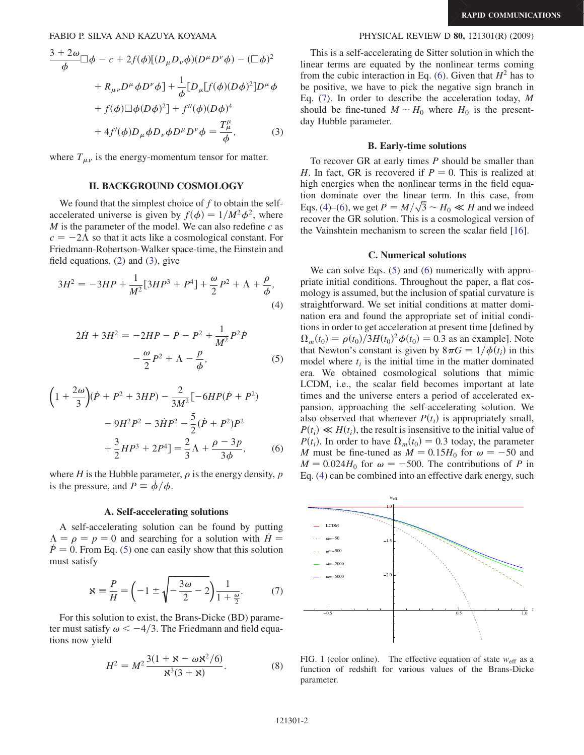$$
\frac{3+2\omega}{\phi} \Box \phi - c + 2f(\phi)[(D_{\mu}D_{\nu}\phi)(D^{\mu}D^{\nu}\phi) - (\Box \phi)^{2}
$$

$$
+ R_{\mu\nu}D^{\mu}\phi D^{\nu}\phi] + \frac{1}{\phi}[D_{\mu}[f(\phi)(D\phi)^{2}]D^{\mu}\phi
$$

$$
+ f(\phi)\Box \phi (D\phi)^{2}] + f''(\phi)(D\phi)^{4}
$$

$$
+ 4f'(\phi)D_{\mu}\phi D_{\nu}\phi D^{\mu}D^{\nu}\phi = \frac{T^{\mu}_{\mu}}{\phi}, \qquad (3)
$$

<span id="page-1-0"></span>where  $T_{\mu\nu}$  is the energy-momentum tensor for matter.

### **II. BACKGROUND COSMOLOGY** II. BACKGROUND COSMOLOGY CO

We found that the simplest choice of  $f$  to obtain the selfaccelerated universe is given by  $f(\phi) = 1/M^2 \phi^2$ , where M is the parameter of the model. We can also redefine  $c$  as  $c = -2\Lambda$  so that it acts like a cosmological constant. For Friedmann-Robertson-Walker space-time, the Einstein and field equations, ([2](#page-1-0)) and [\(3\)](#page-0-0), give

<span id="page-1-2"></span><span id="page-1-1"></span>
$$
3H^{2} = -3HP + \frac{1}{M^{2}}[3HP^{3} + P^{4}] + \frac{\omega}{2}P^{2} + \Lambda + \frac{\rho}{\phi},
$$
\n(4)

$$
2\dot{H} + 3H^2 = -2HP - \dot{P} - P^2 + \frac{1}{M^2}P^2\dot{P} - \frac{\omega}{2}P^2 + \Lambda - \frac{p}{\phi},
$$
 (5)

$$
\left(1 + \frac{2\omega}{3}\right)(\dot{P} + P^2 + 3HP) - \frac{2}{3M^2}[-6HP(\dot{P} + P^2) - 9H^2P^2 - 3HP^2 - \frac{5}{2}(\dot{P} + P^2)P^2 + \frac{3}{2}HP^3 + 2P^4\right] = \frac{2}{3}\Lambda + \frac{\rho - 3p}{3\phi},\tag{6}
$$

<span id="page-1-4"></span>where H is the Hubble parameter,  $\rho$  is the energy density,  $p$ is the pressure, and  $P = \dot{\phi}/\phi$ .

<span id="page-1-3"></span> $\frac{1}{2}$ .  $\frac{1}{2}$  solutions solutions solutions solutions solutions solutions solutions solutions solutions solutions solutions. A self-accelerating solution can be found by putting  $\Lambda = \rho = p = 0$  and searching for a solution with  $\dot{H} =$  $\dot{P} = 0$ . From Eq. [\(5\)](#page-1-1) one can easily show that this solution must satisfy

$$
\mathbf{x} = \frac{P}{H} = \left(-1 \pm \sqrt{-\frac{3\omega}{2} - 2}\right) \frac{1}{1 + \frac{\omega}{2}}.\tag{7}
$$

For this solution to exist, the Brans-Dicke (BD) parameter must satisfy  $\omega < -4/3$ . The Friedmann and field equations now yield

$$
H^{2} = M^{2} \frac{3(1 + \mathbf{x} - \omega \mathbf{x}^{2}/6)}{\mathbf{x}^{3}(3 + \mathbf{x})}.
$$
 (8)

This is a self-accelerating de Sitter solution in which the linear terms are equated by the nonlinear terms coming from the cubic interaction in Eq. ([6](#page-1-2)). Given that  $H^2$  has to be positive, we have to pick the negative sign branch in Eq. ([7\)](#page-1-3). In order to describe the acceleration today, M should be fine-tuned  $M \sim H_0$  where  $H_0$  is the presentday Hubble parameter.

To recover GR at early times  $P$  should be smaller than H. In fact, GR is recovered if  $P = 0$ . This is realized at high energies when the nonlinear terms in the field equation dominate over the linear term. In this case, from Eqs. ([4](#page-1-4))–[\(6\)](#page-1-2), we get  $P = M/\sqrt{3} \sim H_0 \ll H$  and we indeed recover the GR solution. This is a cosmological version of the Vainshtein mechanism to screen the scalar field [[16](#page-4-13)].

### **C.** Numerical solutions C. Numerical solutions

We can solve Eqs. [\(5](#page-1-1)) and [\(6](#page-1-2)) numerically with appropriate initial conditions. Throughout the paper, a flat cosmology is assumed, but the inclusion of spatial curvature is straightforward. We set initial conditions at matter domination era and found the appropriate set of initial conditions in order to get acceleration at present time [defined by  $\Omega_m(t_0) = \rho(t_0)/3H(t_0)^2 \phi(t_0) = 0.3$  as an example]. Note that Newton's constant is given by  $8\pi G = 1/\phi(t_i)$  in this model where  $t_i$  is the initial time in the matter dominated era. We obtained cosmological solutions that mimic LCDM, i.e., the scalar field becomes important at late times and the universe enters a period of accelerated expansion, approaching the self-accelerating solution. We also observed that whenever  $P(t_i)$  is appropriately small,  $P(t_i) \ll H(t_i)$ , the result is insensitive to the initial value of  $P(t_i)$ . In order to have  $\Omega_m(t_0) = 0.3$  today, the parameter M must be fine-tuned as  $M = 0.15H_0$  for  $\omega = -50$  and  $M = 0.024H_0$  for  $\omega = -500$ . The contributions of P in Eq. ([4](#page-1-4)) can be combined into an effective dark energy, such

<span id="page-1-5"></span>

FIG. 1 (color online). The effective equation of state  $w_{\text{eff}}$  as a function of redshift for various values of the Brans-Dicke parameter.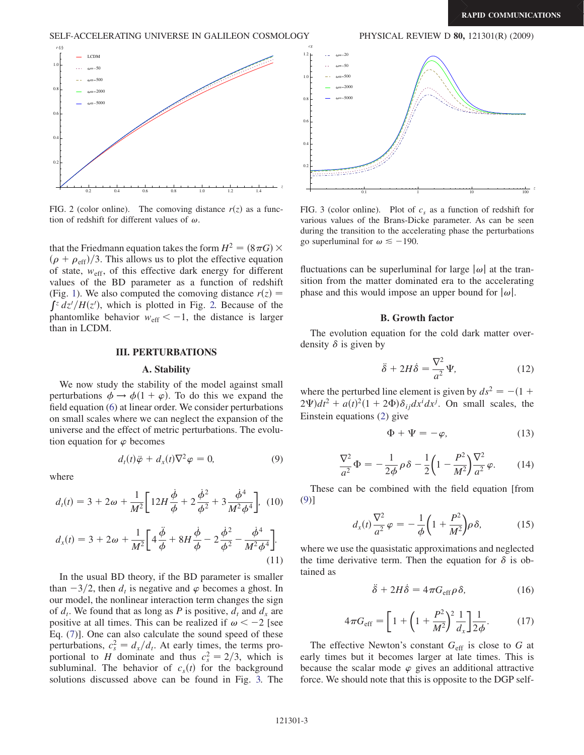### SELF-ACCELERATING UNIVERSE IN GALILEON COSMOLOGY PHYSICAL REVIEW D 80, 121301(R) (2009)

<span id="page-2-0"></span>

FIG. 2 (color online). The comoving distance  $r(z)$  as a function of redshift for different values of  $\omega$ .

that the Friedmann equation takes the form  $H^2 = (8\pi G) \times$  $(\rho + \rho_{\text{eff}})/3$ . This allows us to plot the effective equation of state,  $w_{\text{eff}}$ , of this effective dark energy for different values of the BD parameter as a function of redshift (Fig. [1](#page-1-5)). We also computed the comoving distance  $r(z) =$  $\int z \frac{dz'}{H(z')}$ , which is plotted in Fig. [2.](#page-2-0) Because of the phantomlike behavior  $w_{\text{eff}} < -1$ , the distance is larger than in LCDM.

## III. PERTURBATIONS

We now study the stability of the model against small perturbations  $\phi \to \phi(1 + \varphi)$ . To do this we expand the field equation ([6\)](#page-1-2) at linear order. We consider perturbations on small scales where we can neglect the expansion of the universe and the effect of metric perturbations. The evolution equation for  $\varphi$  becomes

$$
d_t(t)\ddot{\varphi} + d_x(t)\nabla^2 \varphi = 0, \qquad (9)
$$

<span id="page-2-2"></span>where

$$
d_t(t) = 3 + 2\omega + \frac{1}{M^2} \left[ 12H \frac{\dot{\phi}}{\phi} + 2\frac{\dot{\phi}^2}{\phi^2} + 3\frac{\dot{\phi}^4}{M^2 \phi^4} \right], (10)
$$

$$
d_x(t) = 3 + 2\omega + \frac{1}{M^2} \bigg[ 4\frac{\ddot{\phi}}{\phi} + 8H\frac{\dot{\phi}}{\phi} - 2\frac{\dot{\phi}^2}{\phi^2} - \frac{\dot{\phi}^4}{M^2\phi^4} \bigg].
$$
\n(11)

In the usual BD theory, if the BD parameter is smaller than  $-3/2$ , then  $d_t$  is negative and  $\varphi$  becomes a ghost. In our model, the nonlinear interaction term changes the sign of  $d_t$ . We found that as long as P is positive,  $d_t$  and  $d_x$  are positive at all times. This can be realized if  $\omega < -2$  [see Eq. [\(7](#page-1-3))]. One can also calculate the sound speed of these perturbations,  $c_s^2 = d_x/d_t$ . At early times, the terms proportional to *H* dominate and thus  $c_s^2 = 2/3$ , which is subluminal. The behavior of  $c_s(t)$  for the background solutions discussed above can be found in Fig. [3.](#page-2-1) The

<span id="page-2-1"></span>

FIG. 3 (color online). Plot of  $c_s$  as a function of redshift for various values of the Brans-Dicke parameter. As can be seen during the transition to the accelerating phase the perturbations go superluminal for  $\omega \le -190$ .

fluctuations can be superluminal for large  $|\omega|$  at the transition from the matter dominated era to the accelerating phase and this would impose an upper bound for  $|\omega|$ .

### **B.** Growth factor

 $\mathbf{B}$ . Growth factor factor  $\mathbf{B}$ The evolution equation for the cold dark matter overdensity  $\delta$  is given by

$$
\ddot{\delta} + 2H\dot{\delta} = \frac{\nabla^2}{a^2} \Psi,\tag{12}
$$

where the perturbed line element is given by  $ds^2 = -(1 +$  $2\Psi)dt^2 + a(t)^2(1+2\Phi)\delta_{ij}dx^i dx^j$ . On small scales, the Einstein equations [\(2](#page-1-0)) give

$$
\Phi + \Psi = -\varphi,\tag{13}
$$

$$
\frac{\nabla^2}{a^2}\Phi = -\frac{1}{2\phi}\rho\delta - \frac{1}{2}\left(1 - \frac{P^2}{M^2}\right)\frac{\nabla^2}{a^2}\varphi.
$$
 (14)

These can be combined with the field equation [from [\(9\)](#page-2-2)]

$$
d_x(t)\frac{\nabla^2}{a^2}\varphi = -\frac{1}{\phi}\left(1 + \frac{P^2}{M^2}\right)\rho\,\delta,\tag{15}
$$

where we use the quasistatic approximations and neglected the time derivative term. Then the equation for  $\delta$  is obtained as

$$
\ddot{\delta} + 2H\dot{\delta} = 4\pi G_{\rm eff} \rho \delta, \qquad (16)
$$

$$
4\pi G_{\rm eff} = \left[1 + \left(1 + \frac{P^2}{M^2}\right)^2 \frac{1}{d_x}\right] \frac{1}{2\phi}.
$$
 (17)

The effective Newton's constant  $G_{\text{eff}}$  is close to G at early times but it becomes larger at late times. This is because the scalar mode  $\varphi$  gives an additional attractive force. We should note that this is opposite to the DGP self-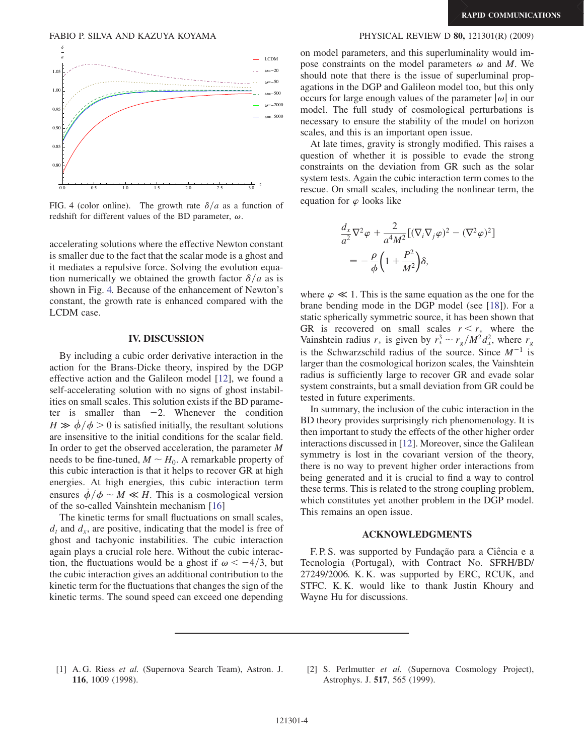<span id="page-3-1"></span>

FIG. 4 (color online). The growth rate  $\delta/a$  as a function of redshift for different values of the BD parameter,  $\omega$ .

accelerating solutions where the effective Newton constant is smaller due to the fact that the scalar mode is a ghost and it mediates a repulsive force. Solving the evolution equation numerically we obtained the growth factor  $\delta/a$  as is shown in Fig. [4.](#page-3-1) Because of the enhancement of Newton's constant, the growth rate is enhanced compared with the LCDM case.

## IV. DISCUSSION

By including a cubic order derivative interaction in the action for the Brans-Dicke theory, inspired by the DGP effective action and the Galileon model [[12](#page-4-8)], we found a self-accelerating solution with no signs of ghost instabilities on small scales. This solution exists if the BD parameter is smaller than  $-2$ . Whenever the condition  $H \gg \dot{\phi}/\phi > 0$  is satisfied initially, the resultant solutions are insensitive to the initial conditions for the scalar field. In order to get the observed acceleration, the parameter M needs to be fine-tuned,  $M \sim H_0$ . A remarkable property of this cubic interaction is that it helps to recover GR at high energies. At high energies, this cubic interaction term ensures  $\dot{\phi}/\phi \sim M \ll H$ . This is a cosmological version of the so-called Vainshtein mechanism [\[16\]](#page-4-13)

The kinetic terms for small fluctuations on small scales,  $d_t$  and  $d_x$ , are positive, indicating that the model is free of ghost and tachyonic instabilities. The cubic interaction again plays a crucial role here. Without the cubic interaction, the fluctuations would be a ghost if  $\omega < -4/3$ , but the cubic interaction gives an additional contribution to the kinetic term for the fluctuations that changes the sign of the kinetic terms. The sound speed can exceed one depending

### FABIO P. SILVA AND KAZUYA KOYAMA PHYSICAL REVIEW D 80, 121301(R) (2009)

on model parameters, and this superluminality would impose constraints on the model parameters  $\omega$  and M. We should note that there is the issue of superluminal propagations in the DGP and Galileon model too, but this only occurs for large enough values of the parameter  $|\omega|$  in our model. The full study of cosmological perturbations is necessary to ensure the stability of the model on horizon scales, and this is an important open issue.

At late times, gravity is strongly modified. This raises a question of whether it is possible to evade the strong constraints on the deviation from GR such as the solar system tests. Again the cubic interaction term comes to the rescue. On small scales, including the nonlinear term, the equation for  $\varphi$  looks like

$$
\frac{d_x}{a^2} \nabla^2 \varphi + \frac{2}{a^4 M^2} [(\nabla_i \nabla_j \varphi)^2 - (\nabla^2 \varphi)^2]
$$
  
= 
$$
-\frac{\rho}{\phi} \left( 1 + \frac{P^2}{M^2} \right) \delta,
$$

where  $\varphi \ll 1$ . This is the same equation as the one for the brane bending mode in the DGP model (see [[18\]](#page-4-14)). For a static spherically symmetric source, it has been shown that GR is recovered on small scales  $r < r_*$  where the Vainshtein radius  $r_*$  is given by  $r_*^3 \sim r_g/M^2 d_x^2$ , where  $r_g$ is the Schwarzschild radius of the source. Since  $M^{-1}$  is larger than the cosmological horizon scales, the Vainshtein radius is sufficiently large to recover GR and evade solar system constraints, but a small deviation from GR could be tested in future experiments.

In summary, the inclusion of the cubic interaction in the BD theory provides surprisingly rich phenomenology. It is then important to study the effects of the other higher order interactions discussed in [[12](#page-4-8)]. Moreover, since the Galilean symmetry is lost in the covariant version of the theory, there is no way to prevent higher order interactions from being generated and it is crucial to find a way to control these terms. This is related to the strong coupling problem, which constitutes yet another problem in the DGP model. This remains an open issue.

## ACKNOWLEDGMENTS

F. P. S. was supported by Fundação para a Ciência e a Tecnologia (Portugal), with Contract No. SFRH/BD/ 27249/2006. K. K. was supported by ERC, RCUK, and STFC. K. K. would like to thank Justin Khoury and Wayne Hu for discussions.

- <span id="page-3-0"></span>[1] A. G. Riess et al. (Supernova Search Team), Astron. J. 116, 1009 (1998).
- [2] S. Perlmutter *et al.* (Supernova Cosmology Project), Astrophys. J. 517, 565 (1999).